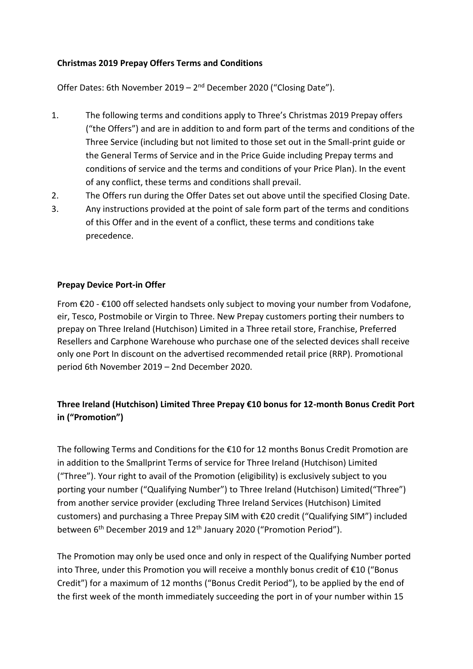## **Christmas 2019 Prepay Offers Terms and Conditions**

Offer Dates: 6th November 2019 - 2<sup>nd</sup> December 2020 ("Closing Date").

- 1. The following terms and conditions apply to Three's Christmas 2019 Prepay offers ("the Offers") and are in addition to and form part of the terms and conditions of the Three Service (including but not limited to those set out in the Small-print guide or the General Terms of Service and in the Price Guide including Prepay terms and conditions of service and the terms and conditions of your Price Plan). In the event of any conflict, these terms and conditions shall prevail.
- 2. The Offers run during the Offer Dates set out above until the specified Closing Date.
- 3. Any instructions provided at the point of sale form part of the terms and conditions of this Offer and in the event of a conflict, these terms and conditions take precedence.

## **Prepay Device Port-in Offer**

From €20 - €100 off selected handsets only subject to moving your number from Vodafone, eir, Tesco, Postmobile or Virgin to Three. New Prepay customers porting their numbers to prepay on Three Ireland (Hutchison) Limited in a Three retail store, Franchise, Preferred Resellers and Carphone Warehouse who purchase one of the selected devices shall receive only one Port In discount on the advertised recommended retail price (RRP). Promotional period 6th November 2019 – 2nd December 2020.

## **Three Ireland (Hutchison) Limited Three Prepay €10 bonus for 12-month Bonus Credit Port in ("Promotion")**

The following Terms and Conditions for the €10 for 12 months Bonus Credit Promotion are in addition to the Smallprint Terms of service for Three Ireland (Hutchison) Limited ("Three"). Your right to avail of the Promotion (eligibility) is exclusively subject to you porting your number ("Qualifying Number") to Three Ireland (Hutchison) Limited("Three") from another service provider (excluding Three Ireland Services (Hutchison) Limited customers) and purchasing a Three Prepay SIM with €20 credit ("Qualifying SIM") included between 6<sup>th</sup> December 2019 and 12<sup>th</sup> January 2020 ("Promotion Period").

The Promotion may only be used once and only in respect of the Qualifying Number ported into Three, under this Promotion you will receive a monthly bonus credit of €10 ("Bonus Credit") for a maximum of 12 months ("Bonus Credit Period"), to be applied by the end of the first week of the month immediately succeeding the port in of your number within 15